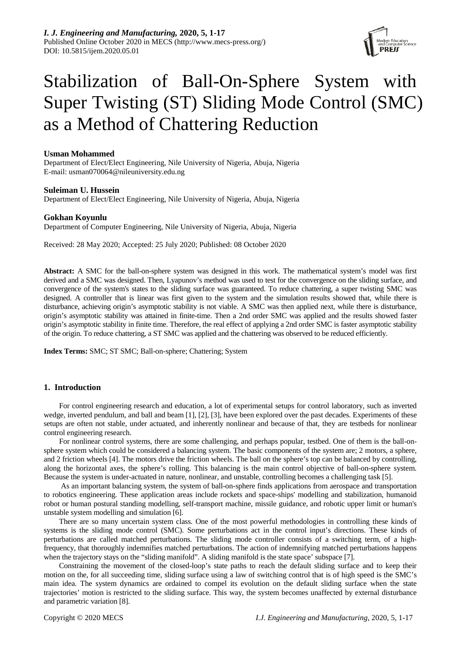

# Stabilization of Ball-On-Sphere System with Super Twisting (ST) Sliding Mode Control (SMC) as a Method of Chattering Reduction

# **Usman Mohammed**

Department of Elect/Elect Engineering, Nile University of Nigeria, Abuja, Nigeria E-mail: usman070064@nileuniversity.edu.ng

# **Suleiman U. Hussein**

Department of Elect/Elect Engineering, Nile University of Nigeria, Abuja, Nigeria

# **Gokhan Koyunlu**

Department of Computer Engineering, Nile University of Nigeria, Abuja, Nigeria

Received: 28 May 2020; Accepted: 25 July 2020; Published: 08 October 2020

**Abstract:** A SMC for the ball-on-sphere system was designed in this work. The mathematical system's model was first derived and a SMC was designed. Then, Lyapunov's method was used to test for the convergence on the sliding surface, and convergence of the system's states to the sliding surface was guaranteed. To reduce chattering, a super twisting SMC was designed. A controller that is linear was first given to the system and the simulation results showed that, while there is disturbance, achieving origin's asymptotic stability is not viable. A SMC was then applied next, while there is disturbance, origin's asymptotic stability was attained in finite-time. Then a 2nd order SMC was applied and the results showed faster origin's asymptotic stability in finite time. Therefore, the real effect of applying a 2nd order SMC is faster asymptotic stability of the origin. To reduce chattering, a ST SMC was applied and the chattering was observed to be reduced efficiently.

**Index Terms:** SMC; ST SMC; Ball-on-sphere; Chattering; System

# **1. Introduction**

For control engineering research and education, a lot of experimental setups for control laboratory, such as inverted wedge, inverted pendulum, and ball and beam [1], [2], [3], have been explored over the past decades. Experiments of these setups are often not stable, under actuated, and inherently nonlinear and because of that, they are testbeds for nonlinear control engineering research.

For nonlinear control systems, there are some challenging, and perhaps popular, testbed. One of them is the ball-onsphere system which could be considered a balancing system. The basic components of the system are; 2 motors, a sphere, and 2 friction wheels [4]. The motors drive the friction wheels. The ball on the sphere's top can be balanced by controlling, along the horizontal axes, the sphere's rolling. This balancing is the main control objective of ball-on-sphere system. Because the system is under-actuated in nature, nonlinear, and unstable, controlling becomes a challenging task [5].

As an important balancing system, the system of ball-on-sphere finds applications from aerospace and transportation to robotics engineering. These application areas include rockets and space-ships' modelling and stabilization, humanoid robot or human postural standing modelling, self-transport machine, missile guidance, and robotic upper limit or human's unstable system modelling and simulation [6].

There are so many uncertain system class. One of the most powerful methodologies in controlling these kinds of systems is the sliding mode control (SMC). Some perturbations act in the control input's directions. These kinds of perturbations are called matched perturbations. The sliding mode controller consists of a switching term, of a highfrequency, that thoroughly indemnifies matched perturbations. The action of indemnifying matched perturbations happens when the trajectory stays on the "sliding manifold". A sliding manifold is the state space' subspace [7].

Constraining the movement of the closed-loop's state paths to reach the default sliding surface and to keep their motion on the, for all succeeding time, sliding surface using a law of switching control that is of high speed is the SMC's main idea. The system dynamics are ordained to compel its evolution on the default sliding surface when the state trajectories' motion is restricted to the sliding surface. This way, the system becomes unaffected by external disturbance and parametric variation [8].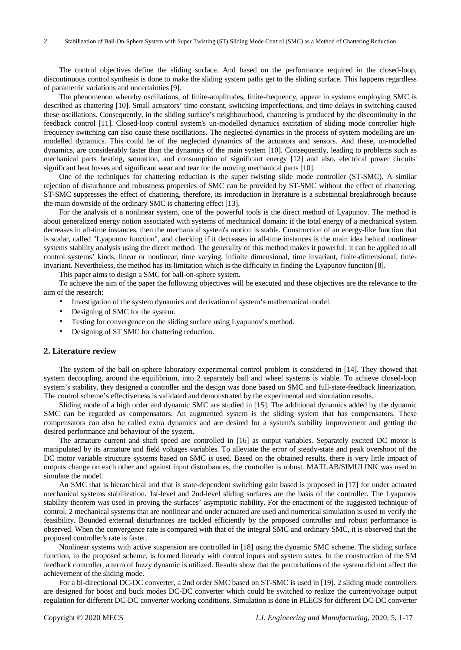The control objectives define the sliding surface. And based on the performance required in the closed-loop, discontinuous control synthesis is done to make the sliding system paths get to the sliding surface. This happens regardless of parametric variations and uncertainties [9].

The phenomenon whereby oscillations, of finite-amplitudes, finite-frequency, appear in systems employing SMC is described as chattering [10]. Small actuators' time constant, switching imperfections, and time delays in switching caused these oscillations. Consequently, in the sliding surface's neighbourhood, chattering is produced by the discontinuity in the feedback control [11]. Closed-loop control system's un-modelled dynamics excitation of sliding mode controller highfrequency switching can also cause these oscillations. The neglected dynamics in the process of system modelling are unmodelled dynamics. This could be of the neglected dynamics of the actuators and sensors. And these, un-modelled dynamics, are considerably faster than the dynamics of the main system [10]. Consequently, leading to problems such as mechanical parts heating, saturation, and consumption of significant energy [12] and also, electrical power circuits' significant heat losses and significant wear and tear for the moving mechanical parts [10].

One of the techniques for chattering reduction is the super twisting slide mode controller (ST-SMC). A similar rejection of disturbance and robustness properties of SMC can be provided by ST-SMC without the effect of chattering. ST-SMC suppresses the effect of chattering, therefore, its introduction in literature is a substantial breakthrough because the main downside of the ordinary SMC is chattering effect [13].

For the analysis of a nonlinear system, one of the powerful tools is the direct method of Lyapunov. The method is about generalized energy notion associated with systems of mechanical domain: if the total energy of a mechanical system decreases in all-time instances, then the mechanical system's motion is stable. Construction of an energy-like function that is scalar, called "Lyapunov function", and checking if it decreases in all-time instances is the main idea behind nonlinear systems stability analysis using the direct method. The generality of this method makes it powerful: it can be applied to all control systems' kinds, linear or nonlinear, time varying, infinite dimensional, time invariant, finite-dimensional, timeinvariant. Nevertheless, the method has its limitation which is the difficulty in finding the Lyapunov function [8].

This paper aims to design a SMC for ball-on-sphere system.

To achieve the aim of the paper the following objectives will be executed and these objectives are the relevance to the aim of the research;

- Investigation of the system dynamics and derivation of system's mathematical model.
- Designing of SMC for the system.
- Testing for convergence on the sliding surface using Lyapunov's method.
- Designing of ST SMC for chattering reduction.

#### **2. Literature review**

The system of the ball-on-sphere laboratory experimental control problem is considered in [14]. They showed that system decoupling, around the equilibrium, into 2 separately ball and wheel systems is viable. To achieve closed-loop system's stability, they designed a controller and the design was done based on SMC and full-state-feedback linearization. The control scheme's effectiveness is validated and demonstrated by the experimental and simulation results.

Sliding mode of a high order and dynamic SMC are studied in [15]. The additional dynamics added by the dynamic SMC can be regarded as compensators. An augmented system is the sliding system that has compensators. These compensators can also be called extra dynamics and are desired for a system's stability improvement and getting the desired performance and behaviour of the system.

The armature current and shaft speed are controlled in [16] as output variables. Separately excited DC motor is manipulated by its armature and field voltages variables. To alleviate the error of steady-state and peak overshoot of the DC motor variable structure systems based on SMC is used. Based on the obtained results, there is very little impact of outputs change on each other and against input disturbances, the controller is robust. MATLAB/SIMULINK was used to simulate the model.

An SMC that is hierarchical and that is state-dependent switching gain based is proposed in [17] for under actuated mechanical systems stabilization. 1st-level and 2nd-level sliding surfaces are the basis of the controller. The Lyapunov stability theorem was used in proving the surfaces' asymptotic stability. For the enactment of the suggested technique of control, 2 mechanical systems that are nonlinear and under actuated are used and numerical simulation is used to verify the feasibility. Bounded external disturbances are tackled efficiently by the proposed controller and robust performance is observed. When the convergence rate is compared with that of the integral SMC and ordinary SMC, it is observed that the proposed controller's rate is faster.

Nonlinear systems with active suspension are controlled in [18] using the dynamic SMC scheme. The sliding surface function, in the proposed scheme, is formed linearly with control inputs and system states. In the construction of the SM feedback controller, a term of fuzzy dynamic is utilized. Results show that the perturbations of the system did not affect the achievement of the sliding mode.

For a bi-directional DC-DC converter, a 2nd order SMC based on ST-SMC is used in [19]. 2 sliding mode controllers are designed for boost and buck modes DC-DC converter which could be switched to realize the current/voltage output regulation for different DC-DC converter working conditions. Simulation is done in PLECS for different DC-DC converter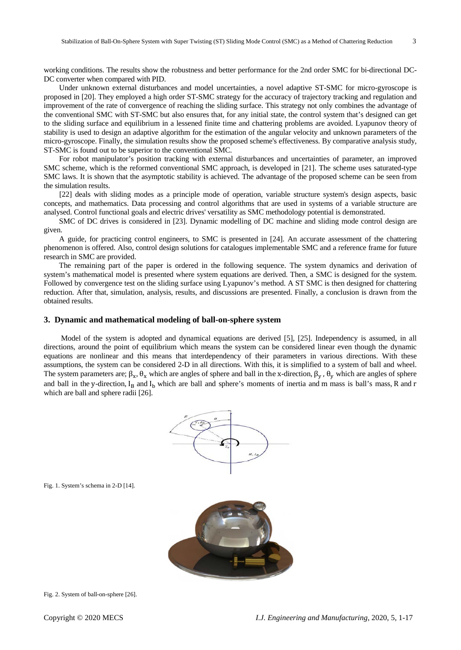working conditions. The results show the robustness and better performance for the 2nd order SMC for bi-directional DC-DC converter when compared with PID.

Under unknown external disturbances and model uncertainties, a novel adaptive ST-SMC for micro-gyroscope is proposed in [20]. They employed a high order ST-SMC strategy for the accuracy of trajectory tracking and regulation and improvement of the rate of convergence of reaching the sliding surface. This strategy not only combines the advantage of the conventional SMC with ST-SMC but also ensures that, for any initial state, the control system that's designed can get to the sliding surface and equilibrium in a lessened finite time and chattering problems are avoided. Lyapunov theory of stability is used to design an adaptive algorithm for the estimation of the angular velocity and unknown parameters of the micro-gyroscope. Finally, the simulation results show the proposed scheme's effectiveness. By comparative analysis study, ST-SMC is found out to be superior to the conventional SMC.

For robot manipulator's position tracking with external disturbances and uncertainties of parameter, an improved SMC scheme, which is the reformed conventional SMC approach, is developed in [21]. The scheme uses saturated-type SMC laws. It is shown that the asymptotic stability is achieved. The advantage of the proposed scheme can be seen from the simulation results.

[22] deals with sliding modes as a principle mode of operation, variable structure system's design aspects, basic concepts, and mathematics. Data processing and control algorithms that are used in systems of a variable structure are analysed. Control functional goals and electric drives' versatility as SMC methodology potential is demonstrated.

SMC of DC drives is considered in [23]. Dynamic modelling of DC machine and sliding mode control design are given.

A guide, for practicing control engineers, to SMC is presented in [24]. An accurate assessment of the chattering phenomenon is offered. Also, control design solutions for catalogues implementable SMC and a reference frame for future research in SMC are provided.

The remaining part of the paper is ordered in the following sequence. The system dynamics and derivation of system's mathematical model is presented where system equations are derived. Then, a SMC is designed for the system. Followed by convergence test on the sliding surface using Lyapunov's method. A ST SMC is then designed for chattering reduction. After that, simulation, analysis, results, and discussions are presented. Finally, a conclusion is drawn from the obtained results.

#### **3. Dynamic and mathematical modeling of ball-on-sphere system**

Model of the system is adopted and dynamical equations are derived [5], [25]. Independency is assumed, in all directions, around the point of equilibrium which means the system can be considered linear even though the dynamic equations are nonlinear and this means that interdependency of their parameters in various directions. With these assumptions, the system can be considered 2-D in all directions. With this, it is simplified to a system of ball and wheel. The system parameters are;  $\beta_x$ ,  $\theta_x$  which are angles of sphere and ball in the x-direction,  $\beta_y$ ,  $\theta_y$  which are angles of sphere and ball in the y-direction,  $I_B$  and  $I_D$  which are ball and sphere's moments of inertia and m mass is ball's mass, R and r which are ball and sphere radii [26].



Fig. 1. System's schema in 2-D [14].



Fig. 2. System of ball-on-sphere [26].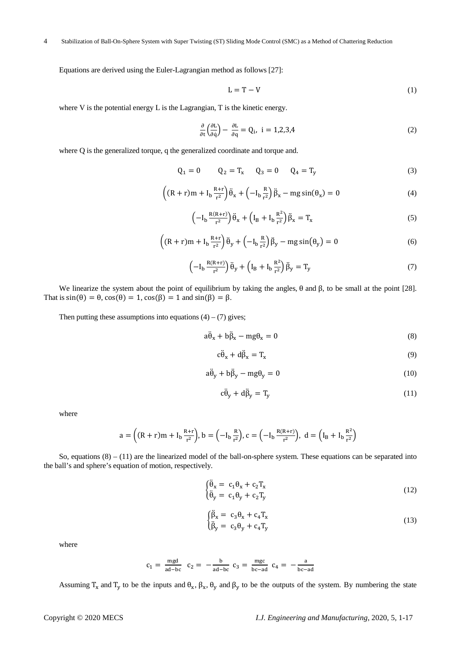Equations are derived using the Euler-Lagrangian method as follows [27]:

$$
L = T - V \tag{1}
$$

where V is the potential energy L is the Lagrangian, T is the kinetic energy.

$$
\frac{\partial}{\partial t} \left( \frac{\partial L}{\partial \dot{q}} \right) - \frac{\partial L}{\partial q} = Q_i, \ i = 1, 2, 3, 4 \tag{2}
$$

where Q is the generalized torque, q the generalized coordinate and torque and.

$$
Q_1 = 0 \t Q_2 = T_x \t Q_3 = 0 \t Q_4 = T_y \t (3)
$$

$$
\left( (R+r)m + I_b \frac{R+r}{r^2} \right) \ddot{\theta}_x + \left( -I_b \frac{R}{r^2} \right) \ddot{\beta}_x - mg \sin(\theta_x) = 0 \tag{4}
$$

$$
\left(-I_b \frac{R(R+r)}{r^2}\right) \ddot{\theta}_x + \left(I_B + I_b \frac{R^2}{r^2}\right) \ddot{\beta}_x = T_x \tag{5}
$$

$$
\left( (R+r)m + I_b \frac{R+r}{r^2} \right) \ddot{\theta}_y + \left( -I_b \frac{R}{r^2} \right) \ddot{\beta}_y - mg \sin(\theta_y) = 0 \tag{6}
$$

$$
\left(-I_b \frac{R(R+r)}{r^2}\right) \ddot{\theta}_y + \left(I_B + I_b \frac{R^2}{r^2}\right) \ddot{\beta}_y = T_y \tag{7}
$$

We linearize the system about the point of equilibrium by taking the angles, θ and β, to be small at the point [28]. That is  $sin(\theta) = \theta$ ,  $cos(\theta) = 1$ ,  $cos(\beta) = 1$  and  $sin(\beta) = \beta$ .

Then putting these assumptions into equations  $(4) - (7)$  gives;

$$
a\ddot{\theta}_x + b\ddot{\beta}_x - mg\theta_x = 0 \tag{8}
$$

$$
c\ddot{\theta}_x + d\ddot{\beta}_x = T_x \tag{9}
$$

$$
a\ddot{\theta}_y + b\ddot{\beta}_y - mg\theta_y = 0\tag{10}
$$

$$
c\ddot{\theta}_y + d\ddot{\beta}_y = T_y \tag{11}
$$

where

$$
a = \left( (R+r)m + I_b \frac{R+r}{r^2} \right), b = \left( -I_b \frac{R}{r^2} \right), c = \left( -I_b \frac{R(R+r)}{r^2} \right), d = \left( I_B + I_b \frac{R^2}{r^2} \right)
$$

So, equations  $(8) - (11)$  are the linearized model of the ball-on-sphere system. These equations can be separated into the ball's and sphere's equation of motion, respectively.

$$
\begin{cases} \ddot{\theta}_{x} = c_{1} \theta_{x} + c_{2} T_{x} \\ \ddot{\theta}_{y} = c_{1} \theta_{y} + c_{2} T_{y} \end{cases}
$$
\n(12)

$$
\begin{cases}\n\ddot{\beta}_x = c_3 \theta_x + c_4 T_x \\
\ddot{\beta}_y = c_3 \theta_y + c_4 T_y\n\end{cases}
$$
\n(13)

where

$$
c_1 = \frac{mgd}{ad-bc}
$$
  $c_2 = -\frac{b}{ad-bc}$   $c_3 = \frac{mgc}{bc-ad}$   $c_4 = -\frac{a}{bc-ad}$ 

Assuming  $T_x$  and  $T_y$  to be the inputs and  $\theta_x$ ,  $\beta_x$ ,  $\theta_y$  and  $\beta_y$  to be the outputs of the system. By numbering the state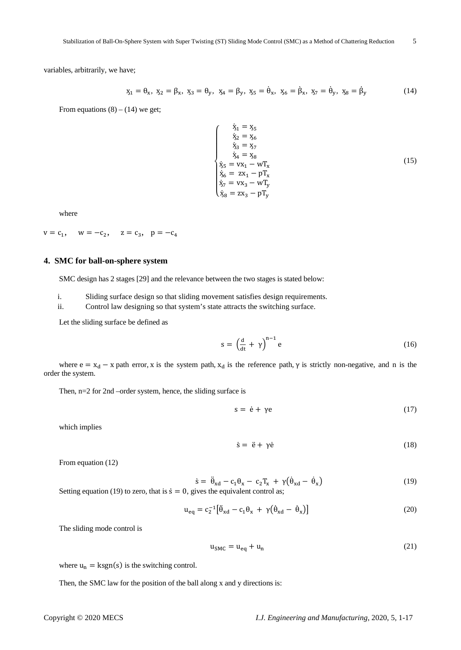variables, arbitrarily, we have;

$$
x_1 = \theta_x, \ x_2 = \beta_x, \ x_3 = \theta_y, \ x_4 = \beta_y, \ x_5 = \dot{\theta}_x, \ x_6 = \dot{\beta}_x, \ x_7 = \dot{\theta}_y, \ x_8 = \dot{\beta}_y \tag{14}
$$

From equations  $(8) - (14)$  we get;

$$
\begin{cases}\n\dot{x}_1 = x_5 \\
\dot{x}_2 = x_6 \\
\dot{x}_3 = x_7 \\
\dot{x}_4 = x_8\n\end{cases}
$$
\n
$$
\begin{cases}\n\dot{x}_1 = x_5 \\
\dot{x}_3 = x_7\n\end{cases}
$$
\n
$$
\begin{cases}\n\dot{x}_3 = x_1 - wT_x \\
\dot{x}_6 = zx_1 - pT_x \\
\dot{x}_7 = vx_3 - wT_y \\
\dot{x}_8 = zx_3 - pT_y\n\end{cases}
$$
\n(15)

where

$$
v = c_1
$$
,  $w = -c_2$ ,  $z = c_3$ ,  $p = -c_4$ 

# **4. SMC for ball-on-sphere system**

SMC design has 2 stages [29] and the relevance between the two stages is stated below:

i. Sliding surface design so that sliding movement satisfies design requirements.

ii. Control law designing so that system's state attracts the switching surface.

Let the sliding surface be defined as

$$
s = \left(\frac{d}{dt} + \gamma\right)^{n-1} e \tag{16}
$$

where  $e = x_d - x$  path error, x is the system path,  $x_d$  is the reference path,  $\gamma$  is strictly non-negative, and n is the order the system.

Then, n=2 for 2nd –order system, hence, the sliding surface is

$$
s = \dot{e} + \gamma e \tag{17}
$$

which implies

$$
\dot{s} = \ddot{e} + \gamma \dot{e} \tag{18}
$$

From equation (12)

$$
\dot{\mathbf{s}} = \ddot{\theta}_{\mathbf{x}d} - \mathbf{c}_1 \theta_{\mathbf{x}} - \mathbf{c}_2 \mathbf{T}_{\mathbf{x}} + \gamma (\dot{\theta}_{\mathbf{x}d} - \dot{\theta}_{\mathbf{x}}) \tag{19}
$$

Setting equation (19) to zero, that is 
$$
\dot{s} = 0
$$
, gives the equivalent control as;

$$
u_{eq} = c_2^{-1} [\hat{\theta}_{xd} - c_1 \theta_x + \gamma (\theta_{xd} - \theta_x)] \tag{20}
$$

The sliding mode control is

$$
u_{SMC} = u_{eq} + u_n \tag{21}
$$

where  $u_n = ksgn(s)$  is the switching control.

Then, the SMC law for the position of the ball along x and y directions is: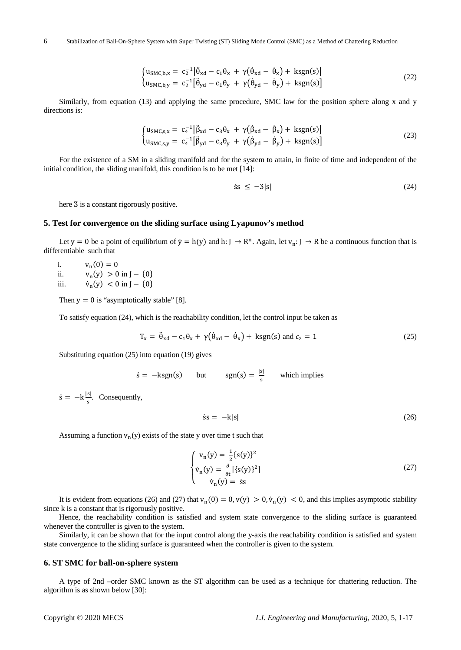$$
\begin{cases}\n\mathbf{u}_{\mathrm{SMC},\mathbf{b},\mathbf{x}} = c_2^{-1} [\ddot{\theta}_{\mathrm{xd}} - c_1 \theta_{\mathrm{x}} + \gamma (\dot{\theta}_{\mathrm{xd}} - \dot{\theta}_{\mathrm{x}}) + \mathrm{ksgn}(\mathrm{s})] \\
\mathbf{u}_{\mathrm{SMC},\mathbf{b},\mathbf{y}} = c_2^{-1} [\ddot{\theta}_{\mathrm{yd}} - c_1 \theta_{\mathrm{y}} + \gamma (\dot{\theta}_{\mathrm{yd}} - \dot{\theta}_{\mathrm{y}}) + \mathrm{ksgn}(\mathrm{s})]\n\end{cases} (22)
$$

Similarly, from equation (13) and applying the same procedure, SMC law for the position sphere along x and y directions is:

$$
\begin{cases}\n u_{\text{SMC},s,x} = c_4^{-1} [\hat{\beta}_{xd} - c_3 \theta_x + \gamma (\hat{\beta}_{xd} - \hat{\beta}_x) + \text{ksgn}(s)] \\
 u_{\text{SMC},s,y} = c_4^{-1} [\hat{\beta}_{yd} - c_3 \theta_y + \gamma (\hat{\beta}_{yd} - \hat{\beta}_y) + \text{ksgn}(s)]\n\end{cases}
$$
\n(23)

For the existence of a SM in a sliding manifold and for the system to attain, in finite of time and independent of the initial condition, the sliding manifold, this condition is to be met [14]:

$$
\text{ss} \le -3|\text{s}| \tag{24}
$$

here  $\overline{3}$  is a constant rigorously positive.

#### **5. Test for convergence on the sliding surface using Lyapunov's method**

Let y = 0 be a point of equilibrium of  $\dot{y} = h(y)$  and h: J  $\rightarrow R^n$ . Again, let  $v_n: J \rightarrow R$  be a continuous function that is differentiable such that

i.  $v_n(0) = 0$ <br>ii.  $v_n(v) > 0$ ii.  $v_n(y) > 0$  in J – {0} iii.  $f_n(y) < 0$  in J – {0}

Then  $y = 0$  is "asymptotically stable" [8].

To satisfy equation (24), which is the reachability condition, let the control input be taken as

$$
T_x = \ddot{\theta}_{xd} - c_1 \theta_x + \gamma (\dot{\theta}_{xd} - \dot{\theta}_x) + \text{kgn(s) and } c_2 = 1 \tag{25}
$$

Substituting equation (25) into equation (19) gives

 $\dot{s} = -ksgn(s)$  but  $sgn(s) = \frac{|s|}{s}$  which implies

 $\dot{s} = -k \frac{|s|}{s}$ . Consequently,

$$
\dot{s}s = -k|s| \tag{26}
$$

Assuming a function  $v_n(y)$  exists of the state y over time t such that

$$
\begin{cases}\nv_n(y) = \frac{1}{2} \{s(y)\}^2 \\
\dot{v}_n(y) = \frac{\partial}{\partial t} \left[ \{s(y)\}^2 \right] \\
\dot{v}_n(y) = \dot{s}s\n\end{cases}
$$
\n(27)

It is evident from equations (26) and (27) that  $v_n(0) = 0$ ,  $v(y) > 0$ ,  $\dot{v}_n(y) < 0$ , and this implies asymptotic stability since k is a constant that is rigorously positive.

Hence, the reachability condition is satisfied and system state convergence to the sliding surface is guaranteed whenever the controller is given to the system.

Similarly, it can be shown that for the input control along the y-axis the reachability condition is satisfied and system state convergence to the sliding surface is guaranteed when the controller is given to the system.

#### **6. ST SMC for ball-on-sphere system**

A type of 2nd –order SMC known as the ST algorithm can be used as a technique for chattering reduction. The algorithm is as shown below [30]: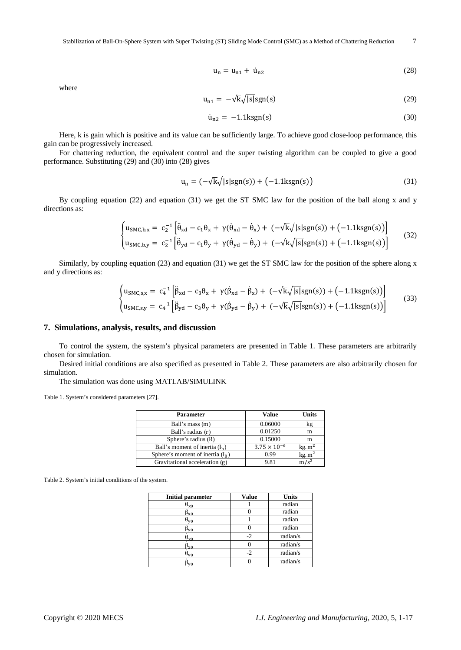$$
\mathbf{u}_{n} = \mathbf{u}_{n1} + \dot{\mathbf{u}}_{n2} \tag{28}
$$

where

$$
u_{n1} = -\sqrt{k}\sqrt{|s|}sgn(s)
$$
 (29)

$$
\dot{u}_{n2} = -1.1 \text{kggn}(s) \tag{30}
$$

Here, k is gain which is positive and its value can be sufficiently large. To achieve good close-loop performance, this gain can be progressively increased.

For chattering reduction, the equivalent control and the super twisting algorithm can be coupled to give a good performance. Substituting (29) and (30) into (28) gives

$$
u_n = \left(-\sqrt{k}\sqrt{|s|}sgn(s)\right) + \left(-1.1\text{kg}n(s)\right) \tag{31}
$$

By coupling equation (22) and equation (31) we get the ST SMC law for the position of the ball along x and y directions as:

$$
\begin{cases}\nu_{\text{SMC},b,x} = c_2^{-1} \left[ \ddot{\theta}_{xd} - c_1 \theta_x + \gamma (\dot{\theta}_{xd} - \dot{\theta}_x) + (-\sqrt{k} \sqrt{|s|} \text{sgn}(s)) + (-1.1 \text{kgn}(s)) \right] \\
u_{\text{SMC},b,y} = c_2^{-1} \left[ \ddot{\theta}_{yd} - c_1 \theta_y + \gamma (\dot{\theta}_{yd} - \dot{\theta}_y) + (-\sqrt{k} \sqrt{|s|} \text{sgn}(s)) + (-1.1 \text{kgn}(s)) \right]\n\end{cases} (32)
$$

Similarly, by coupling equation (23) and equation (31) we get the ST SMC law for the position of the sphere along x and y directions as:

$$
\begin{cases}\nu_{\text{SMC},s,x} = c_{4}^{-1} \left[ \ddot{\beta}_{\text{xd}} - c_{3} \theta_{\text{x}} + \gamma (\dot{\beta}_{\text{xd}} - \dot{\beta}_{\text{x}}) + (-\sqrt{k} \sqrt{|s|} \text{sgn}(s)) + (-1.1 \text{kgn}(s)) \right] \\
u_{\text{SMC},s,y} = c_{4}^{-1} \left[ \ddot{\beta}_{\text{yd}} - c_{3} \theta_{\text{y}} + \gamma (\dot{\beta}_{\text{yd}} - \dot{\beta}_{\text{y}}) + (-\sqrt{k} \sqrt{|s|} \text{sgn}(s)) + (-1.1 \text{kgn}(s)) \right]\n\end{cases} (33)
$$

### **7. Simulations, analysis, results, and discussion**

To control the system, the system's physical parameters are presented in Table 1. These parameters are arbitrarily chosen for simulation.

Desired initial conditions are also specified as presented in Table 2. These parameters are also arbitrarily chosen for simulation.

The simulation was done using MATLAB/SIMULINK

Table 1. System's considered parameters [27].

| <b>Parameter</b>                   | <b>Value</b>          | <b>Units</b>     |
|------------------------------------|-----------------------|------------------|
| Ball's mass (m)                    | 0.06000               | kg               |
| Ball's radius (r)                  | 0.01250               | m                |
| Sphere's radius (R)                | 0.15000               | m                |
| Ball's moment of inertia $(I_h)$   | $3.75 \times 10^{-6}$ | $kg$ . $m2$      |
| Sphere's moment of inertia $(I_R)$ | 0.99                  | $kg$ . $m2$      |
| Gravitational acceleration (g)     | 9.81                  | m/s <sup>2</sup> |

Table 2. System's initial conditions of the system.

| <b>Initial parameter</b>                  | <b>Value</b> | <b>Units</b> |
|-------------------------------------------|--------------|--------------|
| $\mathbf{p}_{\mathrm{x0}}$                |              | radian       |
| $5_{x0}$                                  |              | radian       |
| $\theta_{\rm y0}$                         |              | radian       |
| $B_{\rm y0}$                              |              | radian       |
| $\theta_{\rm x0}$                         | $-2$         | radian/s     |
| $v_{\rm x0}$                              |              | radian/s     |
| $\mathsf{\sigma}_{\mathtt{v} \mathtt{0}}$ | $-2$         | radian/s     |
| $v_{\rm V0}$                              |              | radian/s     |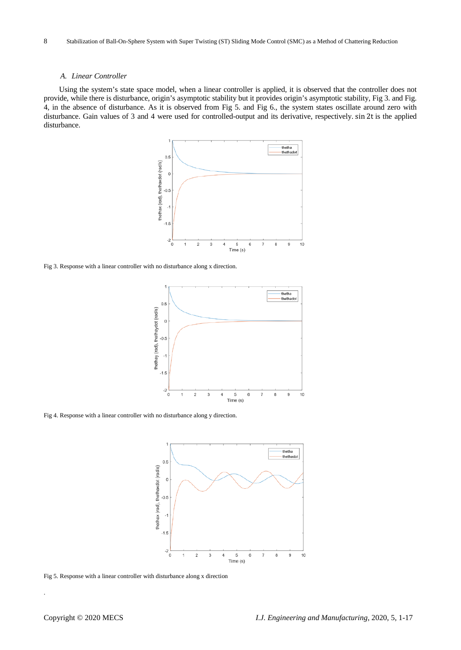#### *A. Linear Controller*

Using the system's state space model, when a linear controller is applied, it is observed that the controller does not provide, while there is disturbance, origin's asymptotic stability but it provides origin's asymptotic stability, Fig 3. and Fig. 4, in the absence of disturbance. As it is observed from Fig 5. and Fig 6., the system states oscillate around zero with disturbance. Gain values of 3 and 4 were used for controlled-output and its derivative, respectively. sin 2t is the applied disturbance.



Fig 3. Response with a linear controller with no disturbance along x direction.



Fig 4. Response with a linear controller with no disturbance along y direction.



Fig 5. Response with a linear controller with disturbance along x direction

.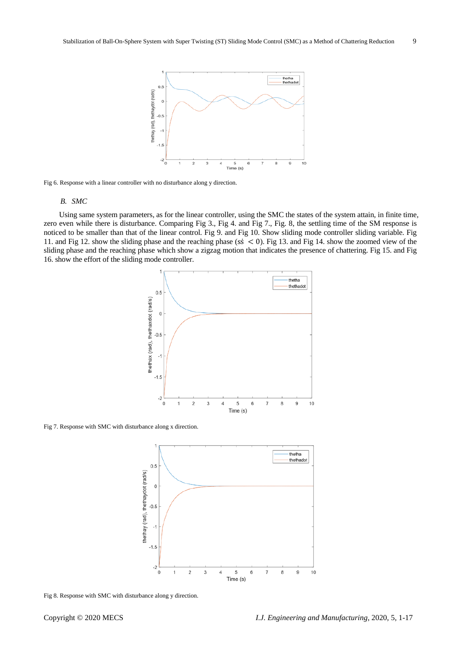

Fig 6. Response with a linear controller with no disturbance along y direction.

#### *B. SMC*

Using same system parameters, as for the linear controller, using the SMC the states of the system attain, in finite time, zero even while there is disturbance. Comparing Fig 3., Fig 4. and Fig 7., Fig. 8, the settling time of the SM response is noticed to be smaller than that of the linear control. Fig 9. and Fig 10. Show sliding mode controller sliding variable. Fig 11. and Fig 12. show the sliding phase and the reaching phase (ss  $\leq$  0). Fig 13. and Fig 14. show the zoomed view of the sliding phase and the reaching phase which show a zigzag motion that indicates the presence of chattering. Fig 15. and Fig 16. show the effort of the sliding mode controller.



Fig 7. Response with SMC with disturbance along x direction.



Fig 8. Response with SMC with disturbance along y direction.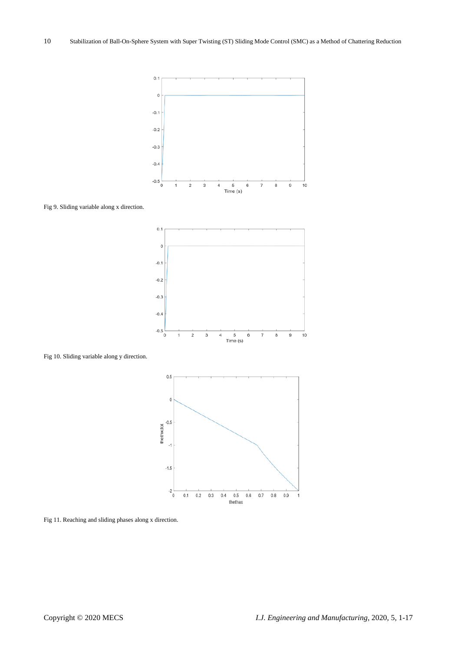

Fig 9. Sliding variable along x direction.





Fig 10. Sliding variable along y direction.

Fig 11. Reaching and sliding phases along x direction.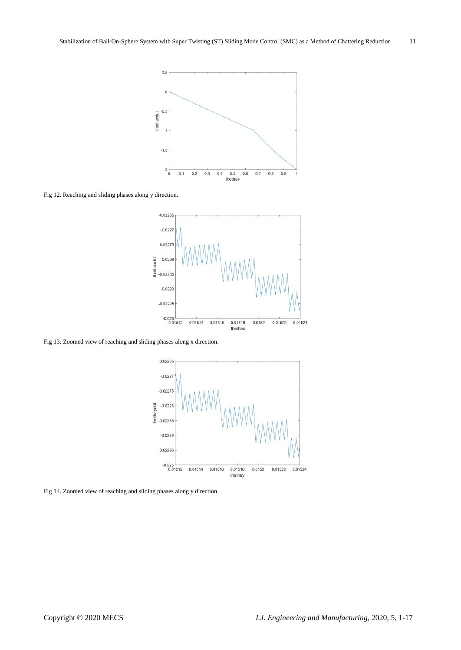

Fig 12. Reaching and sliding phases along y direction.



Fig 13. Zoomed view of reaching and sliding phases along x direction.



Fig 14. Zoomed view of reaching and sliding phases along y direction.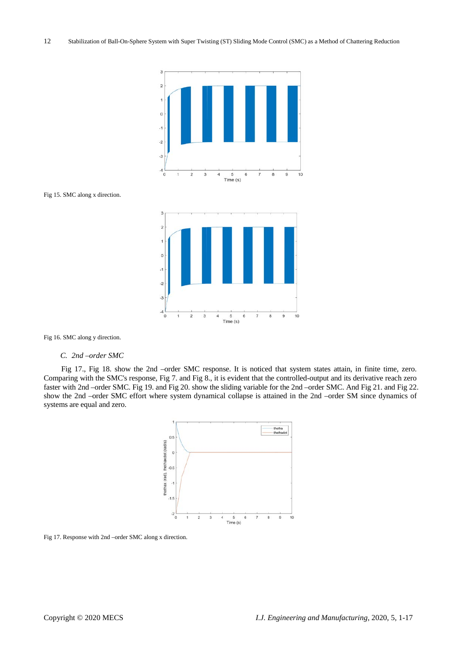

Fig 15. SMC along x direction.



Fig 16. SMC along y direction.

#### *C. 2nd –order SMC*

Fig 17., Fig 18. show the 2nd –order SMC response. It is noticed that system states attain, in finite time, zero. Comparing with the SMC's response, Fig 7. and Fig 8., it is evident that the controlled-output and its derivative reach zero faster with 2nd –order SMC. Fig 19. and Fig 20. show the sliding variable for the 2nd –order SMC. And Fig 21. and Fig 22. show the 2nd –order SMC effort where system dynamical collapse is attained in the 2nd –order SM since dynamics of systems are equal and zero.



Fig 17. Response with 2nd –order SMC along x direction.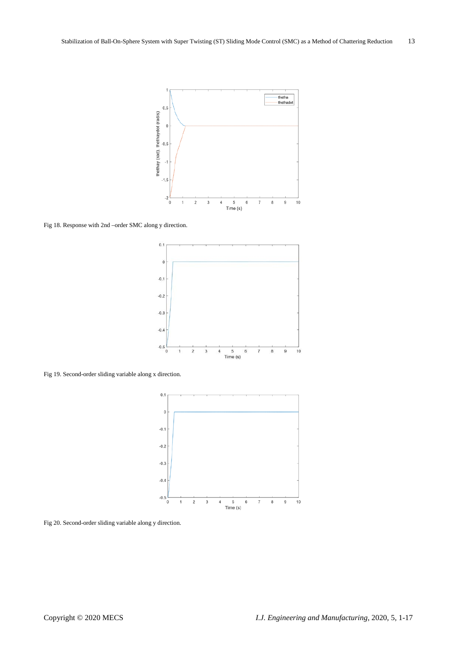

Fig 18. Response with 2nd –order SMC along y direction.



Fig 19. Second-order sliding variable along x direction.



Fig 20. Second-order sliding variable along y direction.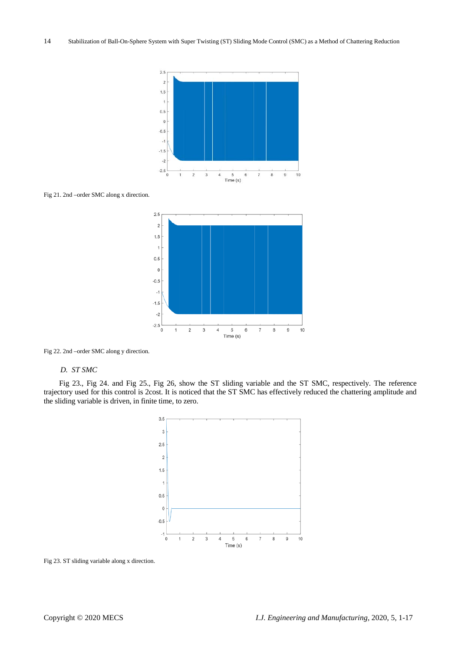

Fig 21. 2nd –order SMC along x direction.



Fig 22. 2nd –order SMC along y direction.

#### *D. ST SMC*

Fig 23., Fig 24. and Fig 25., Fig 26, show the ST sliding variable and the ST SMC, respectively. The reference trajectory used for this control is 2cost. It is noticed that the ST SMC has effectively reduced the chattering amplitude and the sliding variable is driven, in finite time, to zero.



Fig 23. ST sliding variable along x direction.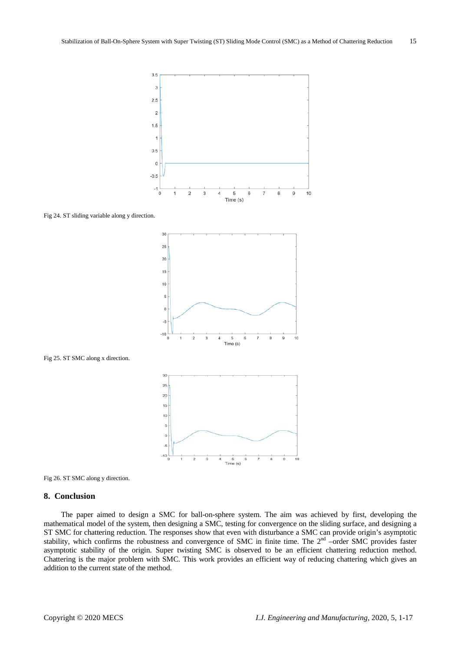

Fig 24. ST sliding variable along y direction.





Fig 26. ST SMC along y direction.

#### **8. Conclusion**

The paper aimed to design a SMC for ball-on-sphere system. The aim was achieved by first, developing the mathematical model of the system, then designing a SMC, testing for convergence on the sliding surface, and designing a ST SMC for chattering reduction. The responses show that even with disturbance a SMC can provide origin's asymptotic stability, which confirms the robustness and convergence of SMC in finite time. The  $2<sup>nd</sup>$  –order SMC provides faster asymptotic stability of the origin. Super twisting SMC is observed to be an efficient chattering reduction method. Chattering is the major problem with SMC. This work provides an efficient way of reducing chattering which gives an addition to the current state of the method.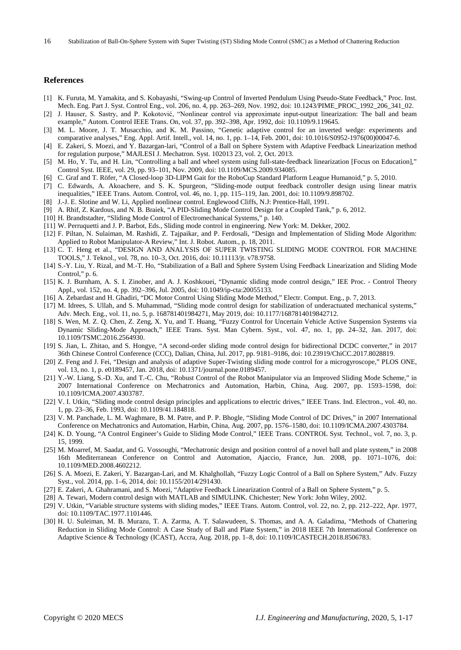#### **References**

- [1] K. Furuta, M. Yamakita, and S. Kobayashi, "Swing-up Control of Inverted Pendulum Using Pseudo-State Feedback," Proc. Inst. Mech. Eng. Part J. Syst. Control Eng., vol. 206, no. 4, pp. 263–269, Nov. 1992, doi: 10.1243/PIME\_PROC\_1992\_206\_341\_02.
- [2] J. Hauser, S. Sastry, and P. Kokotović, "Nonlinear control via approximate input-output linearization: The ball and beam example," Autom. Control IEEE Trans. On, vol. 37, pp. 392-398, Apr. 1992, doi: 10.1109/9.119645.
- [3] M. L. Moore, J. T. Musacchio, and K. M. Passino, "Genetic adaptive control for an inverted wedge: experiments and comparative analyses," Eng. Appl. Artif. Intell., vol. 14, no. 1, pp. 1–14, Feb. 2001, doi: 10.1016/S0952-1976(00)00047-6.
- [4] E. Zakeri, S. Moezi, and Y. Bazargan-lari, "Control of a Ball on Sphere System with Adaptive Feedback Linearization method for regulation purpose," MAJLESI J. Mechatron. Syst. 102013 23, vol. 2, Oct. 2013.
- [5] M. Ho, Y. Tu, and H. Lin, "Controlling a ball and wheel system using full-state-feedback linearization [Focus on Education]," Control Syst. IEEE, vol. 29, pp. 93–101, Nov. 2009, doi: 10.1109/MCS.2009.934085.
- [6] C. Graf and T. Röfer, "A Closed-loop 3D-LIPM Gait for the RoboCup Standard Platform League Humanoid," p. 5, 2010.
- [7] C. Edwards, A. Akoachere, and S. K. Spurgeon, "Sliding-mode output feedback controller design using linear matrix inequalities," IEEE Trans. Autom. Control, vol. 46, no. 1, pp. 115–119, Jan. 2001, doi: 10.1109/9.898702.
- [8] J.-J. E. Slotine and W. Li, Applied nonlinear control. Englewood Cliffs, N.J: Prentice-Hall, 1991.
- [9] A. Rhif, Z. Kardous, and N. B. Braiek, "A PID-Sliding Mode Control Design for a Coupled Tank," p. 6, 2012.
- [10] H. Brandtstadter, "Sliding Mode Control of Electromechanical Systems," p. 140.
- [11] W. Perruquetti and J. P. Barbot, Eds., Sliding mode control in engineering. New York: M. Dekker, 2002.
- [12] F. Piltan, N. Sulaiman, M. Rashidi, Z. Tajpaikar, and P. Ferdosali, "Design and Implementation of Sliding Mode Algorithm: Applied to Robot Manipulator-A Review," Int. J. Robot. Autom., p. 18, 2011.
- [13] C. T. Heng et al., "DESIGN AND ANALYSIS OF SUPER TWISTING SLIDING MODE CONTROL FOR MACHINE TOOLS," J. Teknol., vol. 78, no. 10–3, Oct. 2016, doi: 10.11113/jt. v78.9758.
- [14] S.-Y. Liu, Y. Rizal, and M.-T. Ho, "Stabilization of a Ball and Sphere System Using Feedback Linearization and Sliding Mode Control," p. 6.
- [15] K. J. Burnham, A. S. I. Zinober, and A. J. Koshkouei, "Dynamic sliding mode control design," IEE Proc. Control Theory Appl., vol. 152, no. 4, pp. 392–396, Jul. 2005, doi: 10.1049/ip-cta:20055133.
- [16] A. Zebardast and H. Ghadiri, "DC Motor Control Using Sliding Mode Method," Electr. Comput. Eng., p. 7, 2013.
- [17] M. Idrees, S. Ullah, and S. Muhammad, "Sliding mode control design for stabilization of underactuated mechanical systems," Adv. Mech. Eng., vol. 11, no. 5, p. 168781401984271, May 2019, doi: 10.1177/1687814019842712.
- [18] S. Wen, M. Z. Q. Chen, Z. Zeng, X. Yu, and T. Huang, "Fuzzy Control for Uncertain Vehicle Active Suspension Systems via Dynamic Sliding-Mode Approach," IEEE Trans. Syst. Man Cybern. Syst., vol. 47, no. 1, pp. 24–32, Jan. 2017, doi: 10.1109/TSMC.2016.2564930.
- [19] S. Jian, L. Zhitao, and S. Hongye, "A second-order sliding mode control design for bidirectional DCDC converter," in 2017 36th Chinese Control Conference (CCC), Dalian, China, Jul. 2017, pp. 9181–9186, doi: 10.23919/ChiCC.2017.8028819.
- [20] Z. Feng and J. Fei, "Design and analysis of adaptive Super-Twisting sliding mode control for a microgyroscope," PLOS ONE, vol. 13, no. 1, p. e0189457, Jan. 2018, doi: 10.1371/journal.pone.0189457.
- [21] Y.-W. Liang, S.-D. Xu, and T.-C. Chu, "Robust Control of the Robot Manipulator via an Improved Sliding Mode Scheme," in 2007 International Conference on Mechatronics and Automation, Harbin, China, Aug. 2007, pp. 1593–1598, doi: 10.1109/ICMA.2007.4303787.
- [22] V. I. Utkin, "Sliding mode control design principles and applications to electric drives," IEEE Trans. Ind. Electron., vol. 40, no. 1, pp. 23–36, Feb. 1993, doi: 10.1109/41.184818.
- [23] V. M. Panchade, L. M. Waghmare, B. M. Patre, and P. P. Bhogle, "Sliding Mode Control of DC Drives," in 2007 International Conference on Mechatronics and Automation, Harbin, China, Aug. 2007, pp. 1576–1580, doi: 10.1109/ICMA.2007.4303784.
- [24] K. D. Young, "A Control Engineer's Guide to Sliding Mode Control," IEEE Trans. CONTROL Syst. Technol., vol. 7, no. 3, p. 15, 1999.
- [25] M. Moarref, M. Saadat, and G. Vossoughi, "Mechatronic design and position control of a novel ball and plate system," in 2008 16th Mediterranean Conference on Control and Automation, Ajaccio, France, Jun. 2008, pp. 1071–1076, doi: 10.1109/MED.2008.4602212.
- [26] S. A. Moezi, E. Zakeri, Y. Bazargan-Lari, and M. Khalghollah, "Fuzzy Logic Control of a Ball on Sphere System," Adv. Fuzzy Syst., vol. 2014, pp. 1–6, 2014, doi: 10.1155/2014/291430.
- [27] E. Zakeri, A. Ghahramani, and S. Moezi, "Adaptive Feedback Linearization Control of a Ball on Sphere System," p. 5.
- [28] A. Tewari, Modern control design with MATLAB and SIMULINK. Chichester; New York: John Wiley, 2002.
- [29] V. Utkin, "Variable structure systems with sliding modes," IEEE Trans. Autom. Control, vol. 22, no. 2, pp. 212–222, Apr. 1977, doi: 10.1109/TAC.1977.1101446.
- [30] H. U. Suleiman, M. B. Murazu, T. A. Zarma, A. T. Salawudeen, S. Thomas, and A. A. Galadima, "Methods of Chattering Reduction in Sliding Mode Control: A Case Study of Ball and Plate System," in 2018 IEEE 7th International Conference on Adaptive Science & Technology (ICAST), Accra, Aug. 2018, pp. 1–8, doi: 10.1109/ICASTECH.2018.8506783.